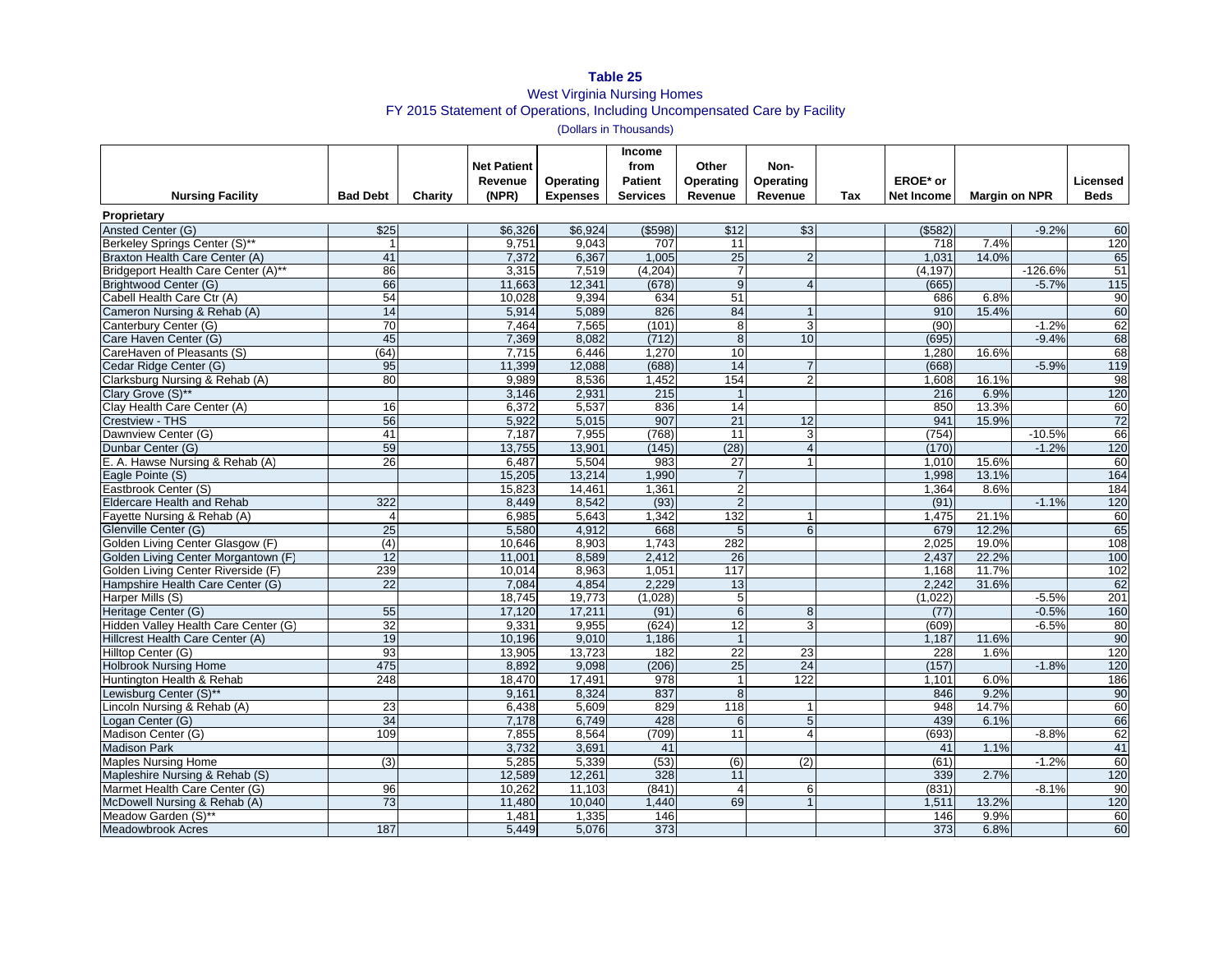## **Table 25** West Virginia Nursing Homes FY 2015 Statement of Operations, Including Uncompensated Care by Facility

(Dollars in Thousands)

| <b>Nursing Facility</b>              | <b>Bad Debt</b> | Charity | <b>Net Patient</b><br>Revenue<br>(NPR) | Operating<br><b>Expenses</b> | <b>Income</b><br>from<br><b>Patient</b><br><b>Services</b> | Other<br>Operating<br>Revenue | Non-<br>Operating<br>Revenue | Tax | EROE* or<br><b>Net Income</b> | <b>Margin on NPR</b> |           | <b>Licensed</b><br><b>Beds</b> |
|--------------------------------------|-----------------|---------|----------------------------------------|------------------------------|------------------------------------------------------------|-------------------------------|------------------------------|-----|-------------------------------|----------------------|-----------|--------------------------------|
| Proprietary                          |                 |         |                                        |                              |                                                            |                               |                              |     |                               |                      |           |                                |
| Ansted Center (G)                    | \$25            |         | \$6,326                                | \$6,924                      | $($ \$598)                                                 | \$12                          | \$3                          |     | (\$582)                       |                      | $-9.2%$   | 60                             |
| Berkeley Springs Center (S)**        |                 |         | 9,751                                  | 9,043                        | 707                                                        | 11                            |                              |     | 718                           | 7.4%                 |           | 120                            |
| Braxton Health Care Center (A)       | 41              |         | 7,372                                  | 6,367                        | 1,005                                                      | 25                            | $\overline{2}$               |     | 1,031                         | 14.0%                |           | 65                             |
| Bridgeport Health Care Center (A)**  | 86              |         | 3,315                                  | 7,519                        | (4,204)                                                    | 7                             |                              |     | (4, 197)                      |                      | $-126.6%$ | 51                             |
| Brightwood Center (G)                | 66              |         | 11,663                                 | 12,341                       | (678)                                                      | $9\,$                         | $\overline{4}$               |     | (665)                         |                      | $-5.7%$   | $\frac{115}{2}$                |
| Cabell Health Care Ctr (A)           | 54              |         | 10.028                                 | 9,394                        | 634                                                        | 51                            |                              |     | 686                           | 6.8%                 |           | 90                             |
| Cameron Nursing & Rehab (A)          | 14              |         | 5,914                                  | 5,089                        | 826                                                        | 84                            |                              |     | 910                           | 15.4%                |           | 60                             |
| Canterbury Center (G)                | $\overline{70}$ |         | 7,464                                  | 7,565                        | (101)                                                      | 8                             | 3                            |     | (90)                          |                      | $-1.2%$   | 62                             |
| Care Haven Center (G)                | 45              |         | 7,369                                  | 8,082                        | (712)                                                      | $\overline{8}$                | 10                           |     | (695)                         |                      | $-9.4%$   | 68                             |
| CareHaven of Pleasants (S)           | (64)            |         | 7,715                                  | 6,446                        | 1,270                                                      | 10                            |                              |     | 1,280                         | 16.6%                |           | 68                             |
| Cedar Ridge Center (G)               | 95              |         | 11.399                                 | 12,088                       | (688)                                                      | 14                            | $\overline{7}$               |     | (668)                         |                      | $-5.9%$   | 119                            |
| Clarksburg Nursing & Rehab (A)       | 80              |         | 9,989                                  | 8,536                        | 1,452                                                      | 154                           | $\overline{2}$               |     | 1,608                         | 16.1%                |           | 98                             |
| Clary Grove (S)**                    |                 |         | 3,146                                  | 2,931                        | 215                                                        | $\overline{1}$                |                              |     | 216                           | 6.9%                 |           | 120                            |
| Clay Health Care Center (A)          | 16              |         | 6,372                                  | 5,537                        | 836                                                        | 14                            |                              |     | 850                           | 13.3%                |           | 60                             |
| Crestview - THS                      | 56              |         | 5,922                                  | 5,015                        | 907                                                        | 21                            | 12                           |     | 941                           | 15.9%                |           | 72                             |
| Dawnview Center (G)                  | 41              |         | 7.187                                  | 7,955                        | (768)                                                      | $\overline{11}$               | 3                            |     | (754)                         |                      | $-10.5%$  | 66                             |
| Dunbar Center (G)                    | 59              |         | 13,755                                 | 13,901                       | (145)                                                      | (28)                          | $\overline{A}$               |     | (170)                         |                      | $-1.2%$   | 120                            |
| E. A. Hawse Nursing & Rehab (A)      | 26              |         | 6,487                                  | 5,504                        | 983                                                        | 27                            | $\mathbf 1$                  |     | 1,010                         | 15.6%                |           | 60                             |
| Eagle Pointe (S)                     |                 |         | 15.205                                 | 13.214                       | 1,990                                                      | $\overline{7}$                |                              |     | 1.998                         | 13.1%                |           | 164                            |
| Eastbrook Center (S)                 |                 |         | 15,823                                 | 14,461                       | 1,361                                                      | $\overline{2}$                |                              |     | 1.364                         | 8.6%                 |           | 184                            |
| <b>Eldercare Health and Rehab</b>    | 322             |         | 8,449                                  | 8,542                        | (93)                                                       | $\overline{2}$                |                              |     | (91)                          |                      | $-1.1%$   | 120                            |
| Fayette Nursing & Rehab (A)          | $\overline{4}$  |         | 6,985                                  | 5,643                        | 1,342                                                      | 132                           | $\mathbf 1$                  |     | 1,475                         | 21.1%                |           | 60                             |
| Glenville Center (G)                 | 25              |         | 5.580                                  | 4,912                        | 668                                                        | 5                             | 6                            |     | 679                           | 12.2%                |           | 65                             |
| Golden Living Center Glasgow (F)     | (4)             |         | 10.646                                 | 8,903                        | 1.743                                                      | 282                           |                              |     | 2.025                         | 19.0%                |           | 108                            |
| Golden Living Center Morgantown (F)  | $\overline{12}$ |         | 11.001                                 | 8.589                        | 2,412                                                      | 26                            |                              |     | 2.437                         | 22.2%                |           | 100                            |
| Golden Living Center Riverside (F)   | 239             |         | 10,014                                 | 8,963                        | 1,051                                                      | 117                           |                              |     | 1,168                         | 11.7%                |           | 102                            |
| Hampshire Health Care Center (G)     | $\overline{22}$ |         | 7.084                                  | 4.854                        | 2.229                                                      | 13                            |                              |     | 2.242                         | 31.6%                |           | 62                             |
| Harper Mills (S)                     |                 |         | 18,745                                 | 19,773                       | (1,028)                                                    | 5                             |                              |     | (1,022)                       |                      | $-5.5%$   | 201                            |
| Heritage Center (G)                  | 55              |         | 17,120                                 | 17,211                       | (91)                                                       | 6                             | 8                            |     | (77)                          |                      | $-0.5%$   | 160                            |
| Hidden Valley Health Care Center (G) | $\overline{32}$ |         | 9.331                                  | 9,955                        | (624)                                                      | 12                            | 3                            |     | (609)                         |                      | $-6.5%$   | 80                             |
| Hillcrest Health Care Center (A)     | 19              |         | 10,196                                 | 9,010                        | 1,186                                                      | $\overline{1}$                |                              |     | 1,187                         | 11.6%                |           | 90                             |
| Hilltop Center (G)                   | 93              |         | 13,905                                 | 13,723                       | 182                                                        | 22                            | 23                           |     | 228                           | 1.6%                 |           | 120                            |
| <b>Holbrook Nursing Home</b>         | 475             |         | 8,892                                  | 9,098                        | (206)                                                      | 25                            | 24                           |     | (157)                         |                      | $-1.8%$   | 120                            |
| Huntington Health & Rehab            | 248             |         | 18,470                                 | 17,491                       | 978                                                        | $\overline{1}$                | 122                          |     | 1,101                         | 6.0%                 |           | 186                            |
| Lewisburg Center (S)**               |                 |         | 9.161                                  | 8,324                        | 837                                                        | 8                             |                              |     | 846                           | 9.2%                 |           | 90                             |
| Lincoln Nursing & Rehab (A)          | 23              |         | 6,438                                  | 5,609                        | 829                                                        | 118                           |                              |     | 948                           | 14.7%                |           | 60                             |
| Logan Center (G)                     | 34              |         | 7,178                                  | 6,749                        | 428                                                        | 6                             | 5                            |     | 439                           | 6.1%                 |           | 66                             |
| Madison Center (G)                   | 109             |         | 7,855                                  | 8,564                        | (709)                                                      | 11                            | $\overline{4}$               |     | (693)                         |                      | $-8.8%$   | 62                             |
| <b>Madison Park</b>                  |                 |         | 3,732                                  | 3,691                        | 41                                                         |                               |                              |     | 41                            | 1.1%                 |           | 41                             |
| <b>Maples Nursing Home</b>           | (3)             |         | 5,285                                  | 5,339                        | (53)                                                       | (6)                           | (2)                          |     | (61)                          |                      | $-1.2%$   | 60                             |
| Mapleshire Nursing & Rehab (S)       |                 |         | 12,589                                 | 12,261                       | 328                                                        | 11                            |                              |     | 339                           | 2.7%                 |           | 120                            |
| Marmet Health Care Center (G)        | 96              |         | 10,262                                 | 11,103                       | (841)                                                      | $\overline{4}$                | 6                            |     | (831)                         |                      | $-8.1%$   | 90                             |
| McDowell Nursing & Rehab (A)         | 73              |         | 11,480                                 | 10,040                       | 1,440                                                      | 69                            | $\overline{1}$               |     | 1,511                         | 13.2%                |           | 120                            |
| Meadow Garden (S)**                  |                 |         | 1.481                                  | 1,335                        | 146                                                        |                               |                              |     | 146                           | 9.9%                 |           | 60                             |
| <b>Meadowbrook Acres</b>             | 187             |         | 5,449                                  | 5,076                        | 373                                                        |                               |                              |     | 373                           | 6.8%                 |           | 60                             |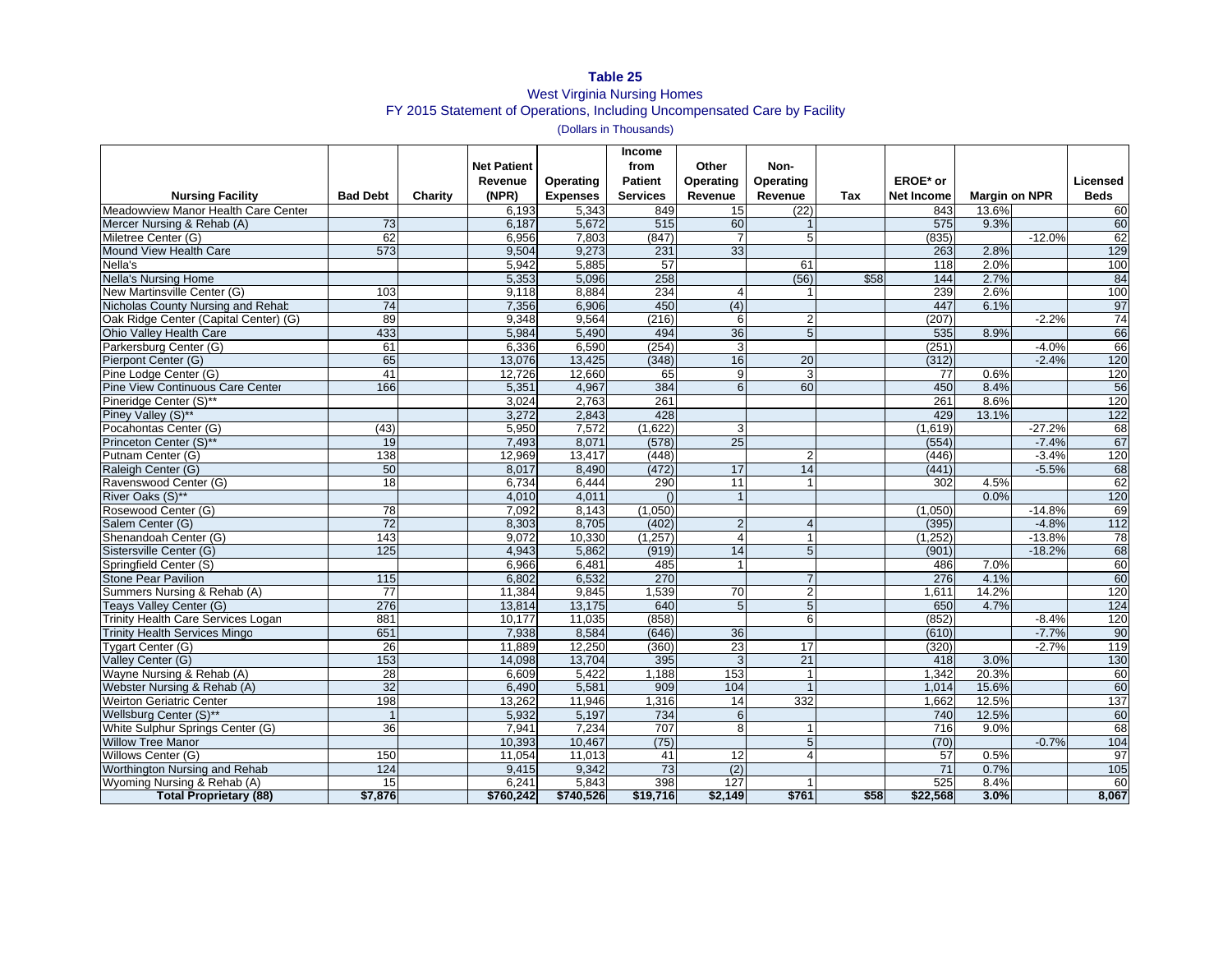## **Table 25** West Virginia Nursing Homes FY 2015 Statement of Operations, Including Uncompensated Care by Facility

(Dollars in Thousands)

| <b>Nursing Facility</b>                 | <b>Bad Debt</b>  | Charity | <b>Net Patient</b><br>Revenue<br>(NPR) | Operating<br><b>Expenses</b> | <b>Income</b><br>from<br><b>Patient</b><br><b>Services</b> | Other<br><b>Operating</b><br>Revenue | Non-<br>Operating<br>Revenue | Tax  | EROE* or<br><b>Net Income</b> | <b>Margin on NPR</b> |          | Licensed<br><b>Beds</b> |
|-----------------------------------------|------------------|---------|----------------------------------------|------------------------------|------------------------------------------------------------|--------------------------------------|------------------------------|------|-------------------------------|----------------------|----------|-------------------------|
| Meadowview Manor Health Care Center     |                  |         | 6,193                                  | 5,343                        | 849                                                        | 15                                   | (22)                         |      | 843                           | 13.6%                |          | 60                      |
| Mercer Nursing & Rehab (A)              | 73               |         | 6.187                                  | 5,672                        | 515                                                        | 60                                   |                              |      | 575                           | 9.3%                 |          | 60                      |
| Miletree Center (G)                     | 62               |         | 6,956                                  | 7,803                        | (847)                                                      | $\overline{7}$                       | 5                            |      | (835)                         |                      | $-12.0%$ | 62                      |
| Mound View Health Care                  | 573              |         | 9,504                                  | 9,273                        | 231                                                        | 33                                   |                              |      | 263                           | 2.8%                 |          | 129                     |
| Nella's                                 |                  |         | 5,942                                  | 5,885                        | 57                                                         |                                      | 61                           |      | 118                           | 2.0%                 |          | 100                     |
| <b>Nella's Nursing Home</b>             |                  |         | 5,353                                  | 5,096                        | 258                                                        |                                      | (56)                         | \$58 | 144                           | 2.7%                 |          | 84                      |
| New Martinsville Center (G)             | 103              |         | 9,118                                  | 8.884                        | 234                                                        | $\overline{4}$                       |                              |      | 239                           | 2.6%                 |          | 100                     |
| Nicholas County Nursing and Rehab       | $\overline{74}$  |         | 7,356                                  | 6,906                        | 450                                                        | (4)                                  |                              |      | 447                           | 6.1%                 |          | 97                      |
| Oak Ridge Center (Capital Center) (G)   | 89               |         | 9,348                                  | 9,564                        | (216)                                                      | 6                                    | $\overline{2}$               |      | (207)                         |                      | $-2.2%$  | $\overline{74}$         |
| <b>Ohio Valley Health Care</b>          | 433              |         | 5,984                                  | 5.490                        | 494                                                        | 36                                   | $\overline{5}$               |      | 535                           | 8.9%                 |          | 66                      |
| Parkersburg Center (G)                  | 61               |         | 6,336                                  | 6,590                        | (254)                                                      | ω                                    |                              |      | (251)                         |                      | $-4.0%$  | 66                      |
| Pierpont Center (G)                     | 65               |         | 13,076                                 | 13,425                       | (348)                                                      | 16                                   | 20                           |      | (312)                         |                      | $-2.4%$  | 120                     |
| Pine Lodge Center (G)                   | 41               |         | 12,726                                 | 12,660                       | 65                                                         | 9                                    | 3                            |      | 77                            | 0.6%                 |          | 120                     |
| <b>Pine View Continuous Care Center</b> | 166              |         | 5,351                                  | 4,967                        | 384                                                        | 6                                    | 60                           |      | 450                           | 8.4%                 |          | 56                      |
| Pineridge Center (S)**                  |                  |         | 3.024                                  | 2.763                        | 261                                                        |                                      |                              |      | 261                           | 8.6%                 |          | 120                     |
| Piney Valley (S)**                      |                  |         | 3,272                                  | 2,843                        | 428                                                        |                                      |                              |      | 429                           | 13.1%                |          | 122                     |
| Pocahontas Center (G)                   | (43)             |         | 5,950                                  | 7,572                        | (1,622)                                                    | 3                                    |                              |      | (1,619)                       |                      | $-27.2%$ | 68                      |
| Princeton Center (S)**                  | 19               |         | 7,493                                  | 8,071                        | (578)                                                      | 25                                   |                              |      | (554)                         |                      | $-7.4%$  | 67                      |
| Putnam Center (G)                       | 138              |         | 12,969                                 | 13,417                       | (448)                                                      |                                      | 2                            |      | (446)                         |                      | $-3.4%$  | 120                     |
| Raleigh Center (G)                      | 50               |         | 8,017                                  | 8,490                        | (472)                                                      | 17                                   | 14                           |      | (441)                         |                      | $-5.5%$  | 68                      |
| Ravenswood Center (G)                   | 18               |         | 6,734                                  | 6,444                        | 290                                                        | 11                                   |                              |      | 302                           | 4.5%                 |          | 62                      |
| River Oaks (S)**                        |                  |         | 4,010                                  | 4,011                        | $\Omega$                                                   | $\overline{1}$                       |                              |      |                               | 0.0%                 |          | 120                     |
| Rosewood Center (G)                     | 78               |         | 7,092                                  | 8,143                        | (1,050)                                                    |                                      |                              |      | (1,050)                       |                      | $-14.8%$ | 69                      |
| Salem Center (G)                        | 72               |         | 8.303                                  | 8.705                        | (402)                                                      | $\overline{2}$                       | $\overline{4}$               |      | (395)                         |                      | $-4.8%$  | 112                     |
| Shenandoah Center (G)                   | 143              |         | 9,072                                  | 10,330                       | (1,257)                                                    | $\overline{4}$                       |                              |      | (1, 252)                      |                      | $-13.8%$ | 78                      |
| Sistersville Center (G)                 | $\frac{125}{25}$ |         | 4,943                                  | 5.862                        | (919)                                                      | 14                                   | 5                            |      | (901)                         |                      | $-18.2%$ | 68                      |
| Springfield Center (S)                  |                  |         | 6.966                                  | 6.481                        | 485                                                        | $\mathbf{1}$                         |                              |      | 486                           | 7.0%                 |          | 60                      |
| <b>Stone Pear Pavilion</b>              | $\overline{115}$ |         | 6,802                                  | 6,532                        | 270                                                        |                                      |                              |      | 276                           | 4.1%                 |          | 60                      |
| Summers Nursing & Rehab (A)             | 77               |         | 11,384                                 | 9.845                        | 1,539                                                      | 70                                   | $\overline{2}$               |      | 1.611                         | 14.2%                |          | 120                     |
| Teays Valley Center (G)                 | 276              |         | 13,814                                 | 13,175                       | 640                                                        | 5                                    | 5                            |      | 650                           | 4.7%                 |          | 124                     |
| Trinity Health Care Services Logan      | 881              |         | 10,177                                 | 11,035                       | (858)                                                      |                                      | 6                            |      | (852)                         |                      | $-8.4%$  | 120                     |
| <b>Trinity Health Services Mingo</b>    | 651              |         | 7,938                                  | 8,584                        | (646)                                                      | 36                                   |                              |      | (610)                         |                      | $-7.7%$  | 90                      |
| Tygart Center (G)                       | 26               |         | 11,889                                 | 12,250                       | (360)                                                      | $\overline{23}$                      | 17                           |      | (320)                         |                      | $-2.7%$  | 119                     |
| Valley Center (G)                       | 153              |         | 14.098                                 | 13.704                       | 395                                                        | 3                                    | 21                           |      | 418                           | 3.0%                 |          | 130                     |
| Wayne Nursing & Rehab (A)               | 28               |         | 6,609                                  | 5,422                        | 1,188                                                      | 153                                  |                              |      | 1,342                         | 20.3%                |          | 60                      |
| Webster Nursing & Rehab (A)             | 32               |         | 6.490                                  | 5.581                        | 909                                                        | 104                                  | $\overline{1}$               |      | 1.014                         | 15.6%                |          | 60                      |
| <b>Weirton Geriatric Center</b>         | 198              |         | 13,262                                 | 11,946                       | 1,316                                                      | 14                                   | 332                          |      | 1,662                         | 12.5%                |          | 137                     |
| Wellsburg Center (S)**                  |                  |         | 5,932                                  | 5,197                        | 734                                                        | 6                                    |                              |      | 740                           | 12.5%                |          | 60                      |
| White Sulphur Springs Center (G)        | 36               |         | 7,941                                  | 7,234                        | 707                                                        | 8                                    |                              |      | 716                           | 9.0%                 |          | 68                      |
| <b>Willow Tree Manor</b>                |                  |         | 10,393                                 | 10,467                       | (75)                                                       |                                      | 5                            |      | (70)                          |                      | $-0.7%$  | 104                     |
| Willows Center (G)                      | 150              |         | 11.054                                 | 11.013                       | 41                                                         | 12                                   | $\overline{4}$               |      | 57                            | 0.5%                 |          | $\overline{97}$         |
| Worthington Nursing and Rehab           | 124              |         | 9,415                                  | 9,342                        | 73                                                         | (2)                                  |                              |      | 71                            | 0.7%                 |          | 105                     |
| Wyoming Nursing & Rehab (A)             | 15               |         | 6.241                                  | 5,843                        | 398                                                        | $\overline{127}$                     |                              |      | 525                           | 8.4%                 |          | 60                      |
| <b>Total Proprietary (88)</b>           | \$7,876          |         | \$760,242                              | \$740,526                    | \$19,716                                                   | \$2,149                              | \$761                        | \$58 | \$22,568                      | 3.0%                 |          | 8,067                   |